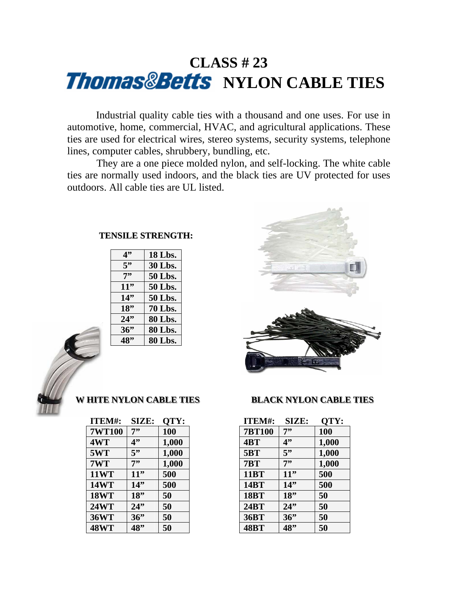### **CLASS # 23 Thomas&Betts** NYLON CABLE TIES

 Industrial quality cable ties with a thousand and one uses. For use in automotive, home, commercial, HVAC, and agricultural applications. These ties are used for electrical wires, stereo systems, security systems, telephone lines, computer cables, shrubbery, bundling, etc.

 They are a one piece molded nylon, and self-locking. The white cable ties are normally used indoors, and the black ties are UV protected for uses outdoors. All cable ties are UL listed.

### **TENSILE STRENGTH:**

| 4"  | 18 Lbs. |
|-----|---------|
| 5"  | 30 Lbs. |
| 7"  | 50 Lbs. |
| 11" | 50 Lbs. |
| 14" | 50 Lbs. |
| 18" | 70 Lbs. |
| 24" | 80 Lbs. |
| 36" | 80 Lbs. |
| 48" | 80 Lbs. |
|     |         |



| ITEM#:        | SIZE: | QTY:  |
|---------------|-------|-------|
| <b>7WT100</b> | 7"    | 100   |
| 4WT           | 4"    | 1,000 |
| 5WT           | 5"    | 1,000 |
| 7WT           | 7"    | 1,000 |
| <b>11WT</b>   | 11"   | 500   |
| <b>14WT</b>   | 14"   | 500   |
| <b>18WT</b>   | 18"   | 50    |
| <b>24WT</b>   | 24"   | 50    |
| <b>36WT</b>   | 36"   | 50    |
| <b>48WT</b>   | 48"   | 50    |



### **WHITE NYLON CABLE TIES BLACK NYLON CABLE TIES**

| ITEM#:        | SIZE: | QTY:  |
|---------------|-------|-------|
| <b>7BT100</b> | 7"    | 100   |
| 4BT           | 4"    | 1,000 |
| <b>5BT</b>    | 5"    | 1,000 |
| 7BT           | 7"    | 1,000 |
| <b>11BT</b>   | 11"   | 500   |
| 14BT          | 14"   | 500   |
| <b>18BT</b>   | 18"   | 50    |
| 24BT          | 24"   | 50    |
| <b>36BT</b>   | 36"   | 50    |
| <b>48BT</b>   |       | 50    |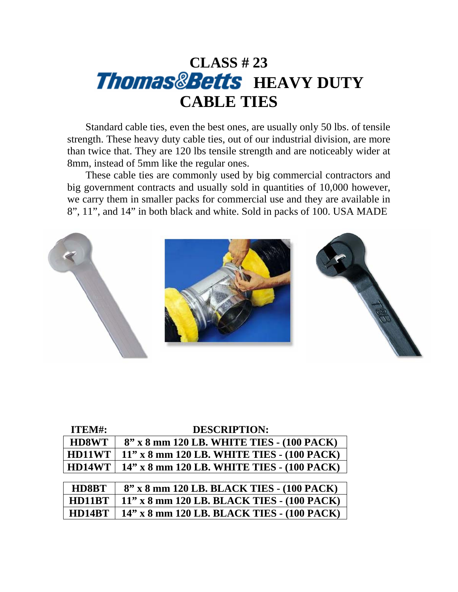## **CLASS # 23 Thomas&Betts** HEAVY DUTY **CABLE TIES**

 Standard cable ties, even the best ones, are usually only 50 lbs. of tensile strength. These heavy duty cable ties, out of our industrial division, are more than twice that. They are 120 lbs tensile strength and are noticeably wider at 8mm, instead of 5mm like the regular ones.

 These cable ties are commonly used by big commercial contractors and big government contracts and usually sold in quantities of 10,000 however, we carry them in smaller packs for commercial use and they are available in 8", 11", and 14" in both black and white. Sold in packs of 100. USA MADE



| ITEM#:       | <b>DESCRIPTION:</b>                        |
|--------------|--------------------------------------------|
| <b>HD8WT</b> | 8" x 8 mm 120 LB. WHITE TIES - (100 PACK)  |
| HD11WT       | 11" x 8 mm 120 LB. WHITE TIES - (100 PACK) |
| HD14WT       | 14" x 8 mm 120 LB. WHITE TIES - (100 PACK) |
|              |                                            |
| HD8BT        | 8" x 8 mm 120 LB. BLACK TIES - (100 PACK)  |
| HD11BT       | 11" x 8 mm 120 LB. BLACK TIES - (100 PACK) |
| HD14BT       | 14" x 8 mm 120 LB. BLACK TIES - (100 PACK) |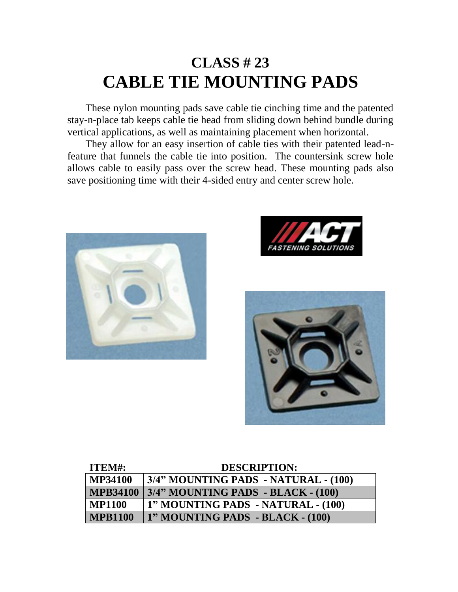# **CLASS # 23 CABLE TIE MOUNTING PADS**

 These nylon mounting pads save cable tie cinching time and the patented stay-n-place tab keeps cable tie head from sliding down behind bundle during vertical applications, as well as maintaining placement when horizontal.

 They allow for an easy insertion of cable ties with their patented lead-nfeature that funnels the cable tie into position. The countersink screw hole allows cable to easily pass over the screw head. These mounting pads also save positioning time with their 4-sided entry and center screw hole.







| ITEM#:          | <b>DESCRIPTION:</b>                  |
|-----------------|--------------------------------------|
| <b>MP34100</b>  | 3/4" MOUNTING PADS - NATURAL - (100) |
| <b>MPB34100</b> | 3/4" MOUNTING PADS - BLACK - (100)   |
| <b>MP1100</b>   | ' 1" MOUNTING PADS - NATURAL - (100) |
| <b>MPB1100</b>  | 1" MOUNTING PADS - BLACK - (100)     |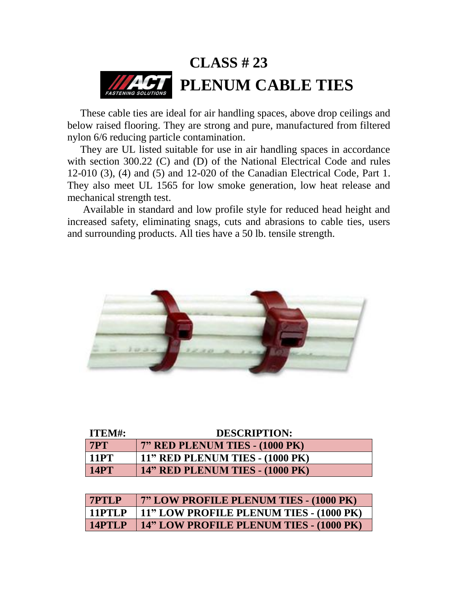

 These cable ties are ideal for air handling spaces, above drop ceilings and below raised flooring. They are strong and pure, manufactured from filtered nylon 6/6 reducing particle contamination.

 They are UL listed suitable for use in air handling spaces in accordance with section 300.22 (C) and (D) of the National Electrical Code and rules 12-010 (3), (4) and (5) and 12-020 of the Canadian Electrical Code, Part 1. They also meet UL 1565 for low smoke generation, low heat release and mechanical strength test.

 Available in standard and low profile style for reduced head height and increased safety, eliminating snags, cuts and abrasions to cable ties, users and surrounding products. All ties have a 50 lb. tensile strength.



| ITEM#:      | <b>DESCRIPTION:</b>                    |
|-------------|----------------------------------------|
| <b>7PT</b>  | 7" RED PLENUM TIES - (1000 PK)         |
| <b>11PT</b> | 11" RED PLENUM TIES - (1000 PK)        |
| <b>14PT</b> | <b>14" RED PLENUM TIES - (1000 PK)</b> |

| <b>7PTLP</b> | 7" LOW PROFILE PLENUM TIES - (1000 PK)  |
|--------------|-----------------------------------------|
| $11$ PTLP    | 11" LOW PROFILE PLENUM TIES - (1000 PK) |
| 14PTLP       | 14" LOW PROFILE PLENUM TIES - (1000 PK) |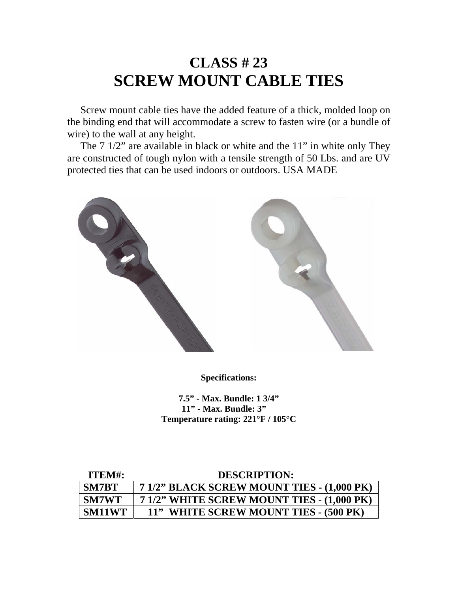### **CLASS # 23 SCREW MOUNT CABLE TIES**

 Screw mount cable ties have the added feature of a thick, molded loop on the binding end that will accommodate a screw to fasten wire (or a bundle of wire) to the wall at any height.

 The 7 1/2" are available in black or white and the 11" in white only They are constructed of tough nylon with a tensile strength of 50 Lbs. and are UV protected ties that can be used indoors or outdoors. USA MADE



**Specifications:** 

**7.5" - Max. Bundle: 1 3/4" 11" - Max. Bundle: 3" Temperature rating: 221°F / 105°C** 

| ITEM#:        | <b>DESCRIPTION:</b>                        |
|---------------|--------------------------------------------|
| <b>SM7BT</b>  | 7 1/2" BLACK SCREW MOUNT TIES - (1,000 PK) |
| <b>SM7WT</b>  | 7 1/2" WHITE SCREW MOUNT TIES - (1,000 PK) |
| <b>SM11WT</b> | 11" WHITE SCREW MOUNT TIES - (500 PK)      |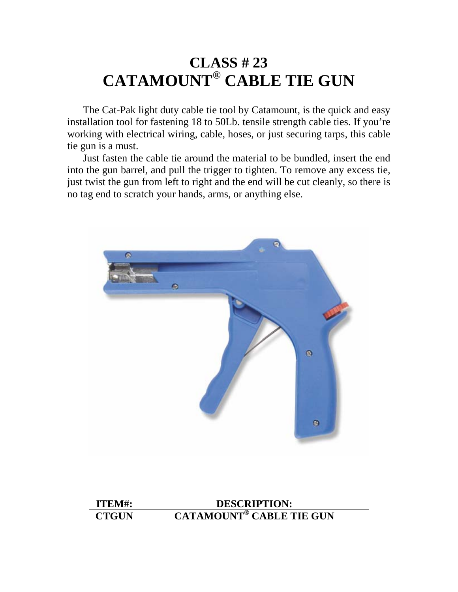### **CLASS # 23 CATAMOUNT® CABLE TIE GUN**

 The Cat-Pak light duty cable tie tool by Catamount, is the quick and easy installation tool for fastening 18 to 50Lb. tensile strength cable ties. If you're working with electrical wiring, cable, hoses, or just securing tarps, this cable tie gun is a must.

 Just fasten the cable tie around the material to be bundled, insert the end into the gun barrel, and pull the trigger to tighten. To remove any excess tie, just twist the gun from left to right and the end will be cut cleanly, so there is no tag end to scratch your hands, arms, or anything else.



| ITEM#:       | <b>DESCRIPTION:</b>                        |
|--------------|--------------------------------------------|
| <b>CTGUN</b> | <b>CATAMOUNT<sup>®</sup> CABLE TIE GUN</b> |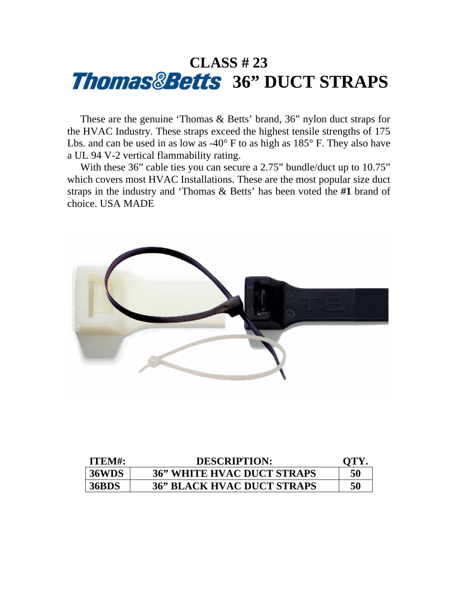# **CLASS # 23**  *Thomas&Betts* 36" DUCT STRAPS

 These are the genuine 'Thomas & Betts' brand, 36" nylon duct straps for the HVAC Industry. These straps exceed the highest tensile strengths of 175 Lbs. and can be used in as low as -40° F to as high as 185° F. They also have a UL 94 V-2 vertical flammability rating.

With these 36" cable ties you can secure a 2.75" bundle/duct up to 10.75" which covers most HVAC Installations. These are the most popular size duct straps in the industry and 'Thomas & Betts' has been voted the **#1** brand of choice. USA MADE



| ITEM#:       | <b>DESCRIPTION:</b>               | OTY |
|--------------|-----------------------------------|-----|
| 36WDS        | <b>36" WHITE HVAC DUCT STRAPS</b> | 50  |
| <b>36BDS</b> | <b>36" BLACK HVAC DUCT STRAPS</b> | 50  |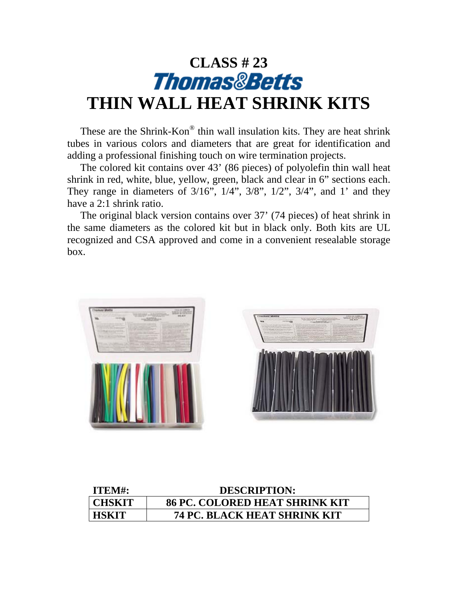# CLASS # 23<br>*Thomas&Betts* **THIN WALL HEAT SHRINK KITS**

 These are the Shrink-Kon® thin wall insulation kits. They are heat shrink tubes in various colors and diameters that are great for identification and adding a professional finishing touch on wire termination projects.

 The colored kit contains over 43' (86 pieces) of polyolefin thin wall heat shrink in red, white, blue, yellow, green, black and clear in 6" sections each. They range in diameters of  $3/16$ ",  $1/4$ ",  $3/8$ ",  $1/2$ ",  $3/4$ ", and 1' and they have a 2:1 shrink ratio.

 The original black version contains over 37' (74 pieces) of heat shrink in the same diameters as the colored kit but in black only. Both kits are UL recognized and CSA approved and come in a convenient resealable storage box.





| ITEM#:       | <b>DESCRIPTION:</b>                   |
|--------------|---------------------------------------|
| CHSKIT       | <b>86 PC. COLORED HEAT SHRINK KIT</b> |
| <b>HSKIT</b> | <b>74 PC. BLACK HEAT SHRINK KIT</b>   |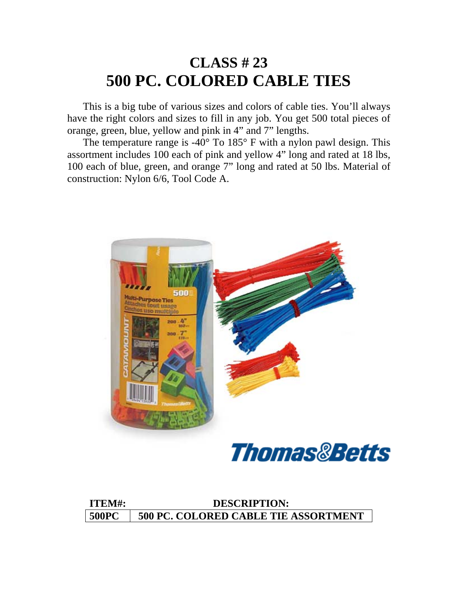### **CLASS # 23 500 PC. COLORED CABLE TIES**

 This is a big tube of various sizes and colors of cable ties. You'll always have the right colors and sizes to fill in any job. You get 500 total pieces of orange, green, blue, yellow and pink in 4" and 7" lengths.

The temperature range is  $-40^{\circ}$  To  $185^{\circ}$  F with a nylon pawl design. This assortment includes 100 each of pink and yellow 4" long and rated at 18 lbs, 100 each of blue, green, and orange 7" long and rated at 50 lbs. Material of construction: Nylon 6/6, Tool Code A.





| ITEM#:       | <b>DESCRIPTION:</b>                         |
|--------------|---------------------------------------------|
| <b>500PC</b> | <b>500 PC. COLORED CABLE TIE ASSORTMENT</b> |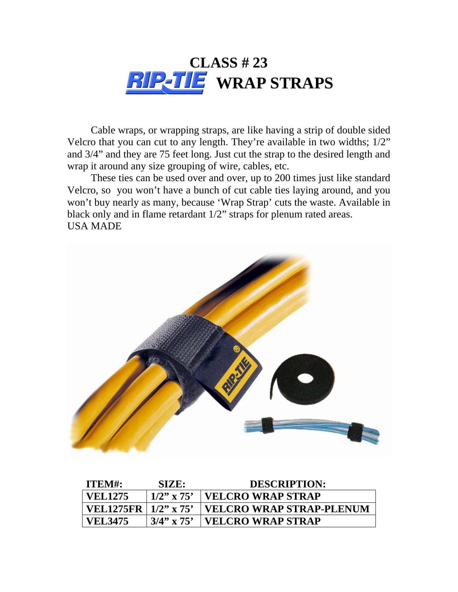

 Cable wraps, or wrapping straps, are like having a strip of double sided Velcro that you can cut to any length. They're available in two widths; 1/2" and 3/4" and they are 75 feet long. Just cut the strap to the desired length and wrap it around any size grouping of wire, cables, etc.

 These ties can be used over and over, up to 200 times just like standard Velcro, so you won't have a bunch of cut cable ties laying around, and you won't buy nearly as many, because 'Wrap Strap' cuts the waste. Available in black only and in flame retardant 1/2" straps for plenum rated areas. USA MADE



| ITEM#:                       | SIZE:         | <b>DESCRIPTION:</b>             |
|------------------------------|---------------|---------------------------------|
| <b>VEL1275</b>               | $1/2$ " x 75' | <b>VELCRO WRAP STRAP</b>        |
| VEL1275FR $ 1/2" \times 75"$ |               | <b>VELCRO WRAP STRAP-PLENUM</b> |
| <b>VEL3475</b>               | $3/4$ " x 75' | <b>VELCRO WRAP STRAP</b>        |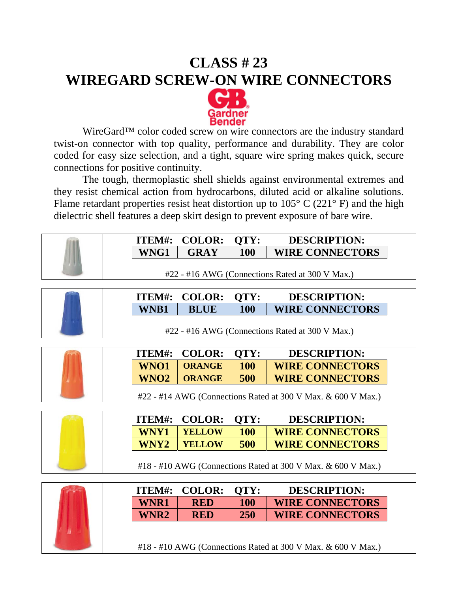### **CLASS # 23 WIREGARD SCREW-ON WIRE CONNECTORS**



WireGard™ color coded screw on wire connectors are the industry standard twist-on connector with top quality, performance and durability. They are color coded for easy size selection, and a tight, square wire spring makes quick, secure connections for positive continuity.

 The tough, thermoplastic shell shields against environmental extremes and they resist chemical action from hydrocarbons, diluted acid or alkaline solutions. Flame retardant properties resist heat distortion up to  $105^{\circ}$  C (221 $^{\circ}$  F) and the high dielectric shell features a deep skirt design to prevent exposure of bare wire.

| WNG1<br><b>GRAY</b><br><b>100</b><br><b>WIRE CONNECTORS</b><br>#22 - #16 AWG (Connections Rated at 300 V Max.)<br><b>COLOR:</b><br><b>QTY:</b><br>ITEM#:<br><b>DESCRIPTION:</b><br><b>WNB1</b><br><b>BLUE</b><br><b>100</b><br><b>WIRE CONNECTORS</b><br>#22 - #16 AWG (Connections Rated at 300 V Max.)<br><b>COLOR:</b><br><b>QTY:</b><br><b>DESCRIPTION:</b><br>ITEM#:<br><b>100</b><br><b>WIRE CONNECTORS</b><br>WNO1<br><b>ORANGE</b><br>WNO <sub>2</sub><br><b>ORANGE</b><br>500<br><b>WIRE CONNECTORS</b><br>#22 - #14 AWG (Connections Rated at 300 V Max. & 600 V Max.)<br><b>COLOR:</b><br>QTY:<br>ITEM#:<br><b>DESCRIPTION:</b><br>WNY1<br><b>YELLOW</b><br><b>100</b><br><b>WIRE CONNECTORS</b><br>500<br>WNY2<br><b>YELLOW</b><br><b>WIRE CONNECTORS</b><br>#18 - #10 AWG (Connections Rated at 300 V Max. & 600 V Max.)<br><b>COLOR:</b><br><b>QTY:</b><br><b>DESCRIPTION:</b><br>ITEM#:<br><b>WIRE CONNECTORS</b><br><b>WNR1</b><br><b>100</b><br><b>RED</b><br>WNR2<br><b>RED</b><br><b>250</b><br><b>WIRE CONNECTORS</b><br>Ш | ITEM#: | <b>COLOR:</b> | QTY: | <b>DESCRIPTION:</b> |
|------------------------------------------------------------------------------------------------------------------------------------------------------------------------------------------------------------------------------------------------------------------------------------------------------------------------------------------------------------------------------------------------------------------------------------------------------------------------------------------------------------------------------------------------------------------------------------------------------------------------------------------------------------------------------------------------------------------------------------------------------------------------------------------------------------------------------------------------------------------------------------------------------------------------------------------------------------------------------------------------------------------------------------------------|--------|---------------|------|---------------------|
|                                                                                                                                                                                                                                                                                                                                                                                                                                                                                                                                                                                                                                                                                                                                                                                                                                                                                                                                                                                                                                                |        |               |      |                     |
|                                                                                                                                                                                                                                                                                                                                                                                                                                                                                                                                                                                                                                                                                                                                                                                                                                                                                                                                                                                                                                                |        |               |      |                     |
|                                                                                                                                                                                                                                                                                                                                                                                                                                                                                                                                                                                                                                                                                                                                                                                                                                                                                                                                                                                                                                                |        |               |      |                     |
|                                                                                                                                                                                                                                                                                                                                                                                                                                                                                                                                                                                                                                                                                                                                                                                                                                                                                                                                                                                                                                                |        |               |      |                     |
|                                                                                                                                                                                                                                                                                                                                                                                                                                                                                                                                                                                                                                                                                                                                                                                                                                                                                                                                                                                                                                                |        |               |      |                     |
|                                                                                                                                                                                                                                                                                                                                                                                                                                                                                                                                                                                                                                                                                                                                                                                                                                                                                                                                                                                                                                                |        |               |      |                     |
|                                                                                                                                                                                                                                                                                                                                                                                                                                                                                                                                                                                                                                                                                                                                                                                                                                                                                                                                                                                                                                                |        |               |      |                     |
|                                                                                                                                                                                                                                                                                                                                                                                                                                                                                                                                                                                                                                                                                                                                                                                                                                                                                                                                                                                                                                                |        |               |      |                     |
|                                                                                                                                                                                                                                                                                                                                                                                                                                                                                                                                                                                                                                                                                                                                                                                                                                                                                                                                                                                                                                                |        |               |      |                     |
|                                                                                                                                                                                                                                                                                                                                                                                                                                                                                                                                                                                                                                                                                                                                                                                                                                                                                                                                                                                                                                                |        |               |      |                     |
|                                                                                                                                                                                                                                                                                                                                                                                                                                                                                                                                                                                                                                                                                                                                                                                                                                                                                                                                                                                                                                                |        |               |      |                     |
|                                                                                                                                                                                                                                                                                                                                                                                                                                                                                                                                                                                                                                                                                                                                                                                                                                                                                                                                                                                                                                                |        |               |      |                     |
|                                                                                                                                                                                                                                                                                                                                                                                                                                                                                                                                                                                                                                                                                                                                                                                                                                                                                                                                                                                                                                                |        |               |      |                     |
|                                                                                                                                                                                                                                                                                                                                                                                                                                                                                                                                                                                                                                                                                                                                                                                                                                                                                                                                                                                                                                                |        |               |      |                     |
|                                                                                                                                                                                                                                                                                                                                                                                                                                                                                                                                                                                                                                                                                                                                                                                                                                                                                                                                                                                                                                                |        |               |      |                     |
|                                                                                                                                                                                                                                                                                                                                                                                                                                                                                                                                                                                                                                                                                                                                                                                                                                                                                                                                                                                                                                                |        |               |      |                     |
|                                                                                                                                                                                                                                                                                                                                                                                                                                                                                                                                                                                                                                                                                                                                                                                                                                                                                                                                                                                                                                                |        |               |      |                     |
|                                                                                                                                                                                                                                                                                                                                                                                                                                                                                                                                                                                                                                                                                                                                                                                                                                                                                                                                                                                                                                                |        |               |      |                     |
|                                                                                                                                                                                                                                                                                                                                                                                                                                                                                                                                                                                                                                                                                                                                                                                                                                                                                                                                                                                                                                                |        |               |      |                     |
|                                                                                                                                                                                                                                                                                                                                                                                                                                                                                                                                                                                                                                                                                                                                                                                                                                                                                                                                                                                                                                                |        |               |      |                     |
| #18 - #10 AWG (Connections Rated at 300 V Max. & 600 V Max.)                                                                                                                                                                                                                                                                                                                                                                                                                                                                                                                                                                                                                                                                                                                                                                                                                                                                                                                                                                                   |        |               |      |                     |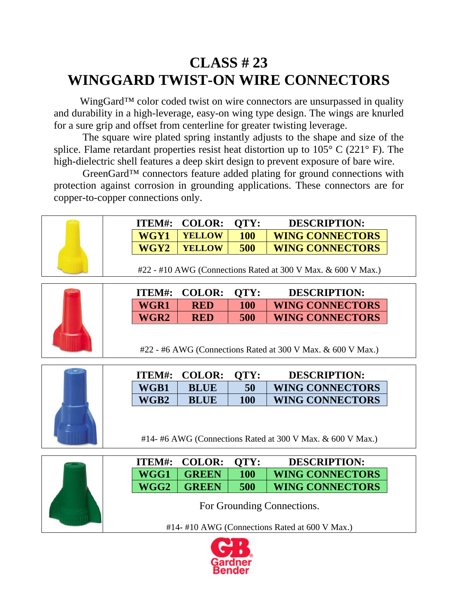### **CLASS # 23 WINGGARD TWIST-ON WIRE CONNECTORS**

WingGard<sup>™</sup> color coded twist on wire connectors are unsurpassed in quality and durability in a high-leverage, easy-on wing type design. The wings are knurled for a sure grip and offset from centerline for greater twisting leverage.

 The square wire plated spring instantly adjusts to the shape and size of the splice. Flame retardant properties resist heat distortion up to  $105^{\circ}$  C (221 $^{\circ}$  F). The high-dielectric shell features a deep skirt design to prevent exposure of bare wire.

 GreenGard™ connectors feature added plating for ground connections with protection against corrosion in grounding applications. These connectors are for copper-to-copper connections only.

|      | <b>ITEM#: COLOR:</b> | OTY: | <b>DESCRIPTION:</b>    |
|------|----------------------|------|------------------------|
| WGY1 | <b>YELLOW</b>        | 100  | <b>WING CONNECTORS</b> |
| WGY2 | <b>YELLOW</b>        | 500  | <b>WING CONNECTORS</b> |

#22 - #10 AWG (Connections Rated at 300 V Max. & 600 V Max.)



|                  | <b>ITEM#: COLOR:</b> | OTY: | <b>DESCRIPTION:</b>    |
|------------------|----------------------|------|------------------------|
| WGR1             | RED                  | 100  | <b>WING CONNECTORS</b> |
| WGR <sub>2</sub> | RED                  | 500  | <b>WING CONNECTORS</b> |

#22 - #6 AWG (Connections Rated at 300 V Max. & 600 V Max.)



**ITEM#: COLOR: QTY: DESCRIPTION:**  WGB1 | BLUE | 50 | WING CONNECTORS  **WGB2 BLUE 100 WING CONNECTORS** 

#14- #6 AWG (Connections Rated at 300 V Max. & 600 V Max.)

| . . |  |
|-----|--|

|      | <b>ITEM#: COLOR:</b> | OTY:       | <b>DESCRIPTION:</b>    |
|------|----------------------|------------|------------------------|
|      | $WGG1$ GREEN         | <b>100</b> | <b>WING CONNECTORS</b> |
| WGG2 | <b>GREEN</b>         | 500        | <b>WING CONNECTORS</b> |

For Grounding Connections.

#14- #10 AWG (Connections Rated at 600 V Max.)

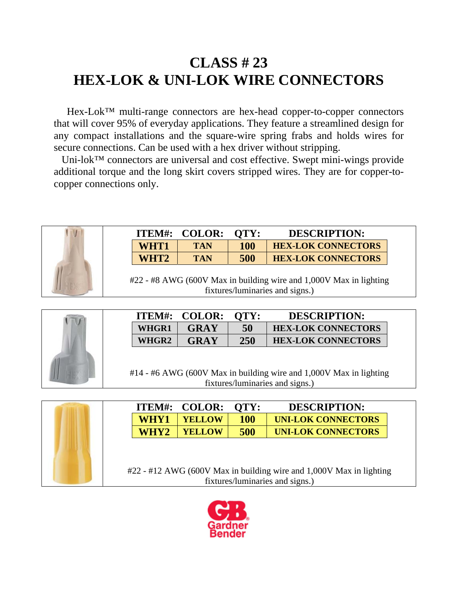### **CLASS # 23 HEX-LOK & UNI-LOK WIRE CONNECTORS**

Hex-Lok™ multi-range connectors are hex-head copper-to-copper connectors that will cover 95% of everyday applications. They feature a streamlined design for any compact installations and the square-wire spring frabs and holds wires for secure connections. Can be used with a hex driver without stripping.

Uni-lok™ connectors are universal and cost effective. Swept mini-wings provide additional torque and the long skirt covers stripped wires. They are for copper-tocopper connections only.



|                  | $11$ LIVI $\pi$ . CULUN. | VII.       | DESCRII TIUR.             |
|------------------|--------------------------|------------|---------------------------|
| WHT1             | <b>TAN</b>               | <b>100</b> | <b>HEX-LOK CONNECTORS</b> |
| WHT <sub>2</sub> | <b>TAN</b>               | 500        | <b>HEX-LOK CONNECTORS</b> |
|                  |                          |            |                           |

**ITEM#: COLOR: QTY: DESCRIPTION:** 

#22 - #8 AWG (600V Max in building wire and 1,000V Max in lighting fixtures/luminaries and signs.)



|              | <b>ITEM#: COLOR:</b> | OTY: | <b>DESCRIPTION:</b>       |
|--------------|----------------------|------|---------------------------|
| <b>WHGR1</b> | GRAY                 | 50   | <b>HEX-LOK CONNECTORS</b> |
| WHGR2        | GRAY                 | 250  | <b>HEX-LOK CONNECTORS</b> |

#14 - #6 AWG (600V Max in building wire and 1,000V Max in lighting fixtures/luminaries and signs.)

|  | <b>ITEM#:</b> | <b>COLOR:</b> | OTY:       | <b>DESCRIPTION:</b>                                                 |  |
|--|---------------|---------------|------------|---------------------------------------------------------------------|--|
|  | WHY1          | <b>YELLOW</b> | <b>100</b> | <b>UNI-LOK CONNECTORS</b>                                           |  |
|  | WHY2          | <b>YELLOW</b> | 500        | <b>UNI-LOK CONNECTORS</b>                                           |  |
|  |               |               |            |                                                                     |  |
|  |               |               |            |                                                                     |  |
|  |               |               |            | #22 - #12 AWG (600V Max in building wire and 1,000V Max in lighting |  |
|  |               |               |            | fixtures/luminaries and signs.)                                     |  |

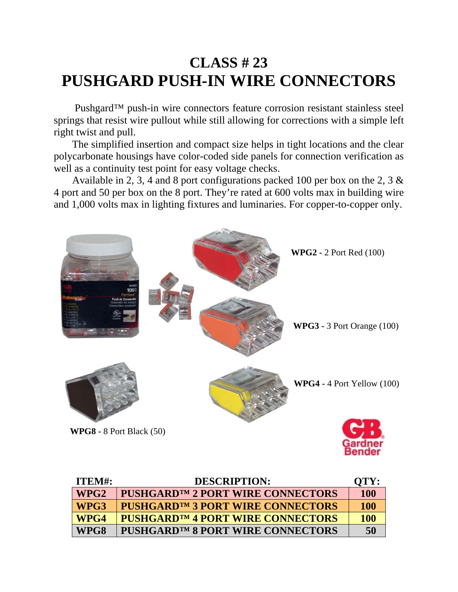### **CLASS # 23 PUSHGARD PUSH-IN WIRE CONNECTORS**

 Pushgard™ push-in wire connectors feature corrosion resistant stainless steel springs that resist wire pullout while still allowing for corrections with a simple left right twist and pull.

 The simplified insertion and compact size helps in tight locations and the clear polycarbonate housings have color-coded side panels for connection verification as well as a continuity test point for easy voltage checks.

 Available in 2, 3, 4 and 8 port configurations packed 100 per box on the 2, 3 & 4 port and 50 per box on the 8 port. They're rated at 600 volts max in building wire and 1,000 volts max in lighting fixtures and luminaries. For copper-to-copper only.



| ITEM#:           | <b>DESCRIPTION:</b>                           | QTY:       |
|------------------|-----------------------------------------------|------------|
| WPG <sub>2</sub> | PUSHGARD <sup>TM</sup> 2 PORT WIRE CONNECTORS | <b>100</b> |
| WPG3             | <b>PUSHGARD™ 3 PORT WIRE CONNECTORS</b>       | <b>100</b> |
| WPG4             | PUSHGARD™4 PORT WIRE CONNECTORS               | <b>100</b> |
| WPG8             | PUSHGARD™ 8 PORT WIRE CONNECTORS              | 50         |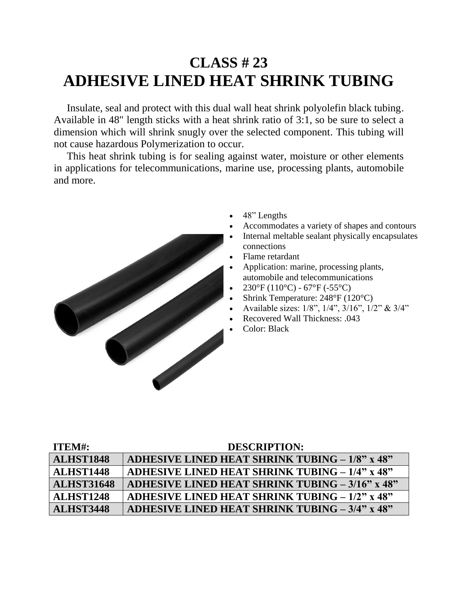### **CLASS # 23 ADHESIVE LINED HEAT SHRINK TUBING**

 Insulate, seal and protect with this dual wall heat shrink polyolefin black tubing. Available in 48" length sticks with a heat shrink ratio of 3:1, so be sure to select a dimension which will shrink snugly over the selected component. This tubing will not cause hazardous Polymerization to occur.

 This heat shrink tubing is for sealing against water, moisture or other elements in applications for telecommunications, marine use, processing plants, automobile and more.



- 48" Lengths
- Accommodates a variety of shapes and contours
- Internal meltable sealant physically encapsulates connections
- Flame retardant
- Application: marine, processing plants, automobile and telecommunications
- $230^{\circ}F(110^{\circ}C) 67^{\circ}F(-55^{\circ}C)$
- Shrink Temperature: 248°F (120°C)
- Available sizes: 1/8", 1/4", 3/16", 1/2" & 3/4"
- Recovered Wall Thickness: .043
- Color: Black

| ITEM#:            | <b>DESCRIPTION:</b>                                    |
|-------------------|--------------------------------------------------------|
| <b>ALHST1848</b>  | ADHESIVE LINED HEAT SHRINK TUBING - 1/8" x 48"         |
| <b>ALHST1448</b>  | <b>ADHESIVE LINED HEAT SHRINK TUBING – 1/4" x 48"</b>  |
| <b>ALHST31648</b> | <b>ADHESIVE LINED HEAT SHRINK TUBING – 3/16" x 48"</b> |
| <b>ALHST1248</b>  | ADHESIVE LINED HEAT SHRINK TUBING $-1/2$ " x 48"       |
| <b>ALHST3448</b>  | ADHESIVE LINED HEAT SHRINK TUBING - 3/4" x 48"         |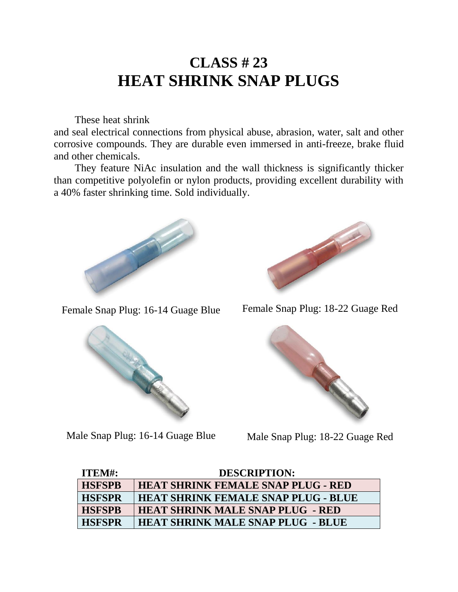### **CLASS # 23 HEAT SHRINK SNAP PLUGS**

 These heat shrink snap plugs, also called 'bullet connectors', insulate, protect and seal electrical connections from physical abuse, abrasion, water, salt and other corrosive compounds. They are durable even immersed in anti-freeze, brake fluid and other chemicals.

 They feature NiAc insulation and the wall thickness is significantly thicker than competitive polyolefin or nylon products, providing excellent durability with a 40% faster shrinking time. Sold individually.





Female Snap Plug: 16-14 Guage Blue Female Snap Plug: 18-22 Guage Red



Male Snap Plug: 16-14 Guage Blue Male Snap Plug: 18-22 Guage Red



| ITEM#:        | <b>DESCRIPTION:</b>                        |
|---------------|--------------------------------------------|
| <b>HSFSPB</b> | <b>HEAT SHRINK FEMALE SNAP PLUG - RED</b>  |
| <b>HSFSPR</b> | <b>HEAT SHRINK FEMALE SNAP PLUG - BLUE</b> |
| <b>HSFSPB</b> | <b>HEAT SHRINK MALE SNAP PLUG - RED</b>    |
| <b>HSFSPR</b> | <b>HEAT SHRINK MALE SNAP PLUG - BLUE</b>   |